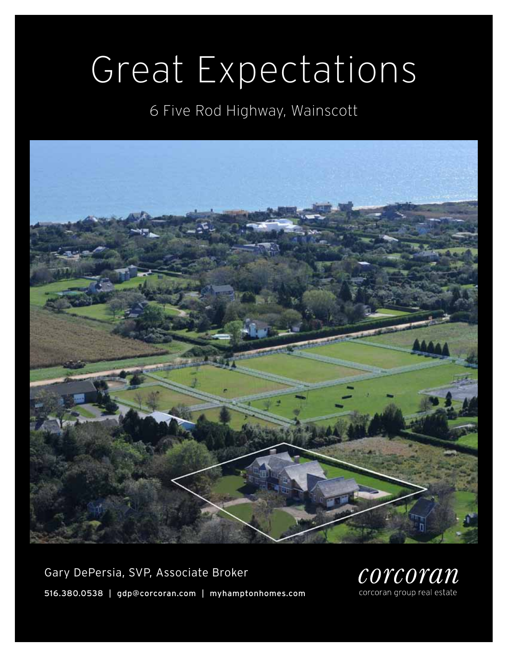# Great Expectations

6 Five Rod Highway, Wainscott



Gary DePersia, SVP, Associate Broker 516.380.0538 | gdp@corcoran.com | myhamptonhomes.com

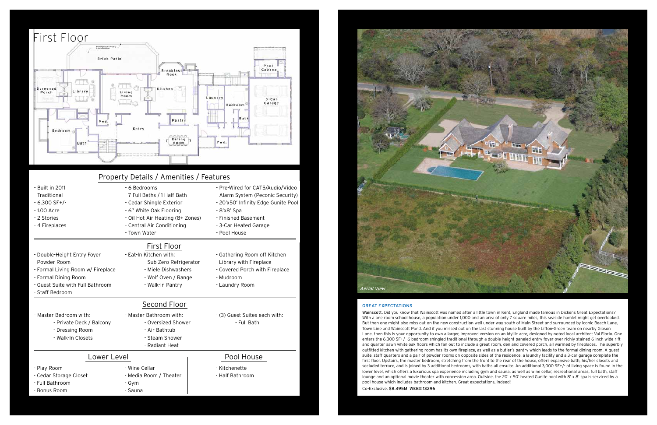### Great expectations

Wainscott. Did you know that Wainscott was named after a little town in Kent, England made famous in Dickens Great Expectations? With a one room school house, a population under 1,000 and an area of only 7 square miles, this seaside hamlet might get overlooked. But then one might also miss out on the new construction well under way south of Main Street and surrounded by iconic Beach Lane, Town Line and Wainscott Pond. And if you missed out on the last stunning house built by the Lifton-Green team on nearby Gibson Lane, then this is your opportunity to own a larger, improved version on an idyllic acre, designed by noted local architect Val Florio. One enters the 6,300 SF+/- 6 bedroom shingled traditional through a double-height paneled entry foyer over richly stained 6-inch wide rift and quarter sawn white oak floors which fan out to include a great room, den and covered porch, all warmed by fireplaces. The superbly outfitted kitchen with gathering room has its own fireplace, as well as a butler's pantry which leads to the formal dining room. A guest suite, staff quarters and a pair of powder rooms on opposite sides of the residence, a laundry facility and a 3-car garage complete the first floor. Upstairs, the master bedroom, stretching from the front to the rear of the house, offers expansive bath, his/her closets and secluded terrace, and is joined by 3 additional bedrooms, with baths all ensuite. An additional 3,000 SF+/- of living space is found in the lower level, which offers a luxurious spa experience including gym and sauna, as well as wine cellar, recreational areas, full bath, staff lounge and an optional movie theater with concession area. Outside, the 20' x 50' heated Gunite pool with 8' x 8' spa is serviced by a pool house which includes bathroom and kitchen. Great expectations, indeed! Co-Exclusive. \$8.495M WEB# 13296





- Bonus Room

- Sauna

| Property Details / Amenities / Features                                                                                                                          |                                                                                                                                                                                       |                                                                                                                                                                                             |
|------------------------------------------------------------------------------------------------------------------------------------------------------------------|---------------------------------------------------------------------------------------------------------------------------------------------------------------------------------------|---------------------------------------------------------------------------------------------------------------------------------------------------------------------------------------------|
| - Built in 2011<br>- Traditional<br>$-6,300$ SF+/-<br>$-1.00$ Acre<br>- 2 Stories<br>- 4 Fireplaces                                                              | - 6 Bedrooms<br>- 7 Full Baths / 1 Half-Bath<br>- Cedar Shingle Exterior<br>- 6" White Oak Flooring<br>- Oil Hot Air Heating (8+ Zones)<br>- Central Air Conditioning<br>- Town Water | - Pre-Wired for CAT5/Audio/Video<br>- Alarm System (Peconic Security)<br>- 20'x50' Infinity Edge Gunite Pool<br>- 8'x8' Spa<br>- Finished Basement<br>- 3-Car Heated Garage<br>- Pool House |
|                                                                                                                                                                  | First Floor                                                                                                                                                                           |                                                                                                                                                                                             |
| - Double-Height Entry Foyer<br>- Powder Room<br>- Formal Living Room w/ Fireplace<br>- Formal Dining Room<br>- Guest Suite with Full Bathroom<br>- Staff Bedroom | - Eat-In Kitchen with:<br>- Sub-Zero Refrigerator<br>- Miele Dishwashers<br>- Wolf Oven / Range<br>- Walk-In Pantry                                                                   | - Gathering Room off Kitchen<br>- Library with Fireplace<br>- Covered Porch with Fireplace<br>- Mudroom<br>- Laundry Room                                                                   |
|                                                                                                                                                                  | <b>Second Floor</b>                                                                                                                                                                   |                                                                                                                                                                                             |
| - Master Bedroom with:<br>- Private Deck / Balcony<br>- Dressing Room<br>- Walk-In Closets                                                                       | - Master Bathroom with:<br>- Oversized Shower<br>- Air Bathtub<br>- Steam Shower<br>- Radiant Heat                                                                                    | - (3) Guest Suites each with:<br>- Full Bath                                                                                                                                                |
| Lower Level                                                                                                                                                      |                                                                                                                                                                                       | Pool House                                                                                                                                                                                  |
| - Play Room<br>- Cedar Storage Closet<br>- Full Bathroom                                                                                                         | - Wine Cellar<br>- Media Room / Theater<br>- Gym                                                                                                                                      | - Kitchenette<br>- Half Bathroom                                                                                                                                                            |

# Aerial View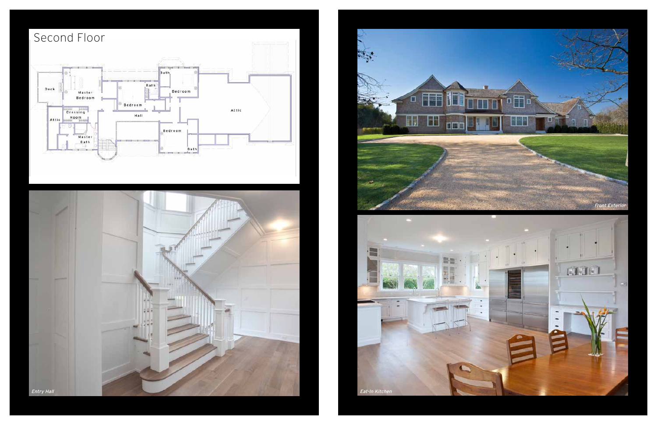

### Second Floor Bath, -2.1 Bath Deck  $\bigotimes$ .<br>Bedroom Bedroom Bedroom Room Attic  $\pi$ Hatt 切. Bedroom Master<br>Bath<br>P  $Bath$

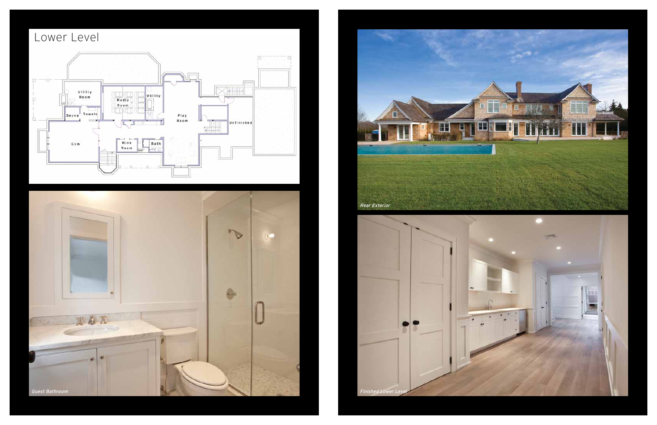# Lower Level